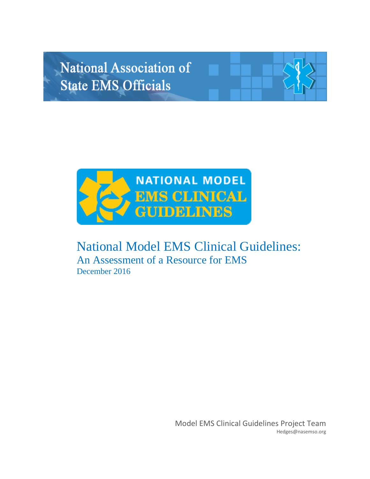# National Association of **State EMS Officials**



# National Model EMS Clinical Guidelines: An Assessment of a Resource for EMS December 2016

Model EMS Clinical Guidelines Project Team Hedges@nasemso.org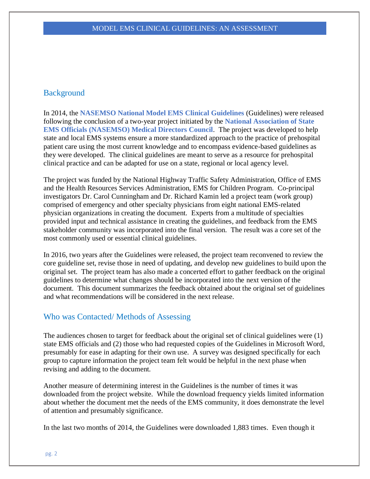# **Background**

In 2014, the **NASEMSO National Model EMS Clinical Guidelines** (Guidelines) were released following the conclusion of a two-year project initiated by the **National Association of State EMS Officials (NASEMSO) Medical Directors Council**. The project was developed to help state and local EMS systems ensure a more standardized approach to the practice of prehospital patient care using the most current knowledge and to encompass evidence-based guidelines as they were developed. The clinical guidelines are meant to serve as a resource for prehospital clinical practice and can be adapted for use on a state, regional or local agency level.

The project was funded by the National Highway Traffic Safety Administration, Office of EMS and the Health Resources Services Administration, EMS for Children Program. Co-principal investigators Dr. Carol Cunningham and Dr. Richard Kamin led a project team (work group) comprised of emergency and other specialty physicians from eight national EMS-related physician organizations in creating the document. Experts from a multitude of specialties provided input and technical assistance in creating the guidelines, and feedback from the EMS stakeholder community was incorporated into the final version. The result was a core set of the most commonly used or essential clinical guidelines.

In 2016, two years after the Guidelines were released, the project team reconvened to review the core guideline set, revise those in need of updating, and develop new guidelines to build upon the original set. The project team has also made a concerted effort to gather feedback on the original guidelines to determine what changes should be incorporated into the next version of the document. This document summarizes the feedback obtained about the original set of guidelines and what recommendations will be considered in the next release.

# Who was Contacted/ Methods of Assessing

The audiences chosen to target for feedback about the original set of clinical guidelines were (1) state EMS officials and (2) those who had requested copies of the Guidelines in Microsoft Word, presumably for ease in adapting for their own use. A survey was designed specifically for each group to capture information the project team felt would be helpful in the next phase when revising and adding to the document.

Another measure of determining interest in the Guidelines is the number of times it was downloaded from the project website. While the download frequency yields limited information about whether the document met the needs of the EMS community, it does demonstrate the level of attention and presumably significance.

In the last two months of 2014, the Guidelines were downloaded 1,883 times. Even though it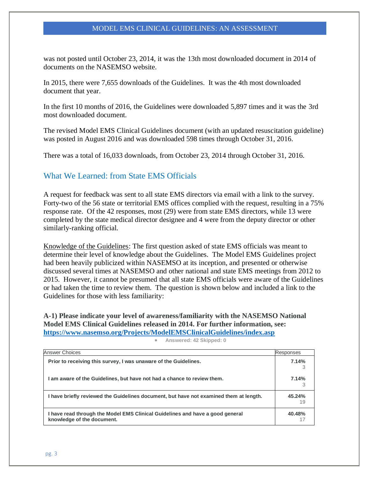was not posted until October 23, 2014, it was the 13th most downloaded document in 2014 of documents on the NASEMSO website.

In 2015, there were 7,655 downloads of the Guidelines. It was the 4th most downloaded document that year.

In the first 10 months of 2016, the Guidelines were downloaded 5,897 times and it was the 3rd most downloaded document.

The revised Model EMS Clinical Guidelines document (with an updated resuscitation guideline) was posted in August 2016 and was downloaded 598 times through October 31, 2016.

There was a total of 16,033 downloads, from October 23, 2014 through October 31, 2016.

# What We Learned: from State EMS Officials

A request for feedback was sent to all state EMS directors via email with a link to the survey. Forty-two of the 56 state or territorial EMS offices complied with the request, resulting in a 75% response rate. Of the 42 responses, most (29) were from state EMS directors, while 13 were completed by the state medical director designee and 4 were from the deputy director or other similarly-ranking official.

Knowledge of the Guidelines: The first question asked of state EMS officials was meant to determine their level of knowledge about the Guidelines. The Model EMS Guidelines project had been heavily publicized within NASEMSO at its inception, and presented or otherwise discussed several times at NASEMSO and other national and state EMS meetings from 2012 to 2015. However, it cannot be presumed that all state EMS officials were aware of the Guidelines or had taken the time to review them. The question is shown below and included a link to the Guidelines for those with less familiarity:

**A-1) Please indicate your level of awareness/familiarity with the NASEMSO National Model EMS Clinical Guidelines released in 2014. For further information, see: <https://www.nasemso.org/Projects/ModelEMSClinicalGuidelines/index.asp>**

| <b>Answer Choices</b>                                                                                       | Responses    |
|-------------------------------------------------------------------------------------------------------------|--------------|
| Prior to receiving this survey, I was unaware of the Guidelines.                                            | 7.14%        |
| I am aware of the Guidelines, but have not had a chance to review them.                                     | 7.14%        |
| I have briefly reviewed the Guidelines document, but have not examined them at length.                      | 45.24%<br>19 |
| I have read through the Model EMS Clinical Guidelines and have a good general<br>knowledge of the document. | 40.48%       |

**Answered: 42 Skipped: 0**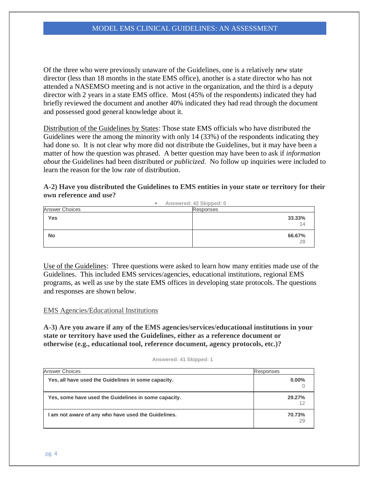Of the three who were previously unaware of the Guidelines, one is a relatively new state director (less than 18 months in the state EMS office), another is a state director who has not attended a NASEMSO meeting and is not active in the organization, and the third is a deputy director with 2 years in a state EMS office. Most (45% of the respondents) indicated they had briefly reviewed the document and another 40% indicated they had read through the document and possessed good general knowledge about it.

Distribution of the Guidelines by States: Those state EMS officials who have distributed the Guidelines were the among the minority with only 14 (33%) of the respondents indicating they had done so. It is not clear why more did not distribute the Guidelines, but it may have been a matter of how the question was phrased. A better question may have been to ask if *information about* the Guidelines had been distributed *or publicized*. No follow up inquiries were included to learn the reason for the low rate of distribution.

# **A-2) Have you distributed the Guidelines to EMS entities in your state or territory for their own reference and use?**

|                       | Answered: 42 Skipped: 0<br>$\bullet$ |              |
|-----------------------|--------------------------------------|--------------|
| <b>Answer Choices</b> | Responses                            |              |
| Yes                   |                                      | 33.33%<br>14 |
| <b>No</b>             |                                      | 66.67%<br>28 |

Use of the Guidelines: Three questions were asked to learn how many entities made use of the Guidelines. This included EMS services/agencies, educational institutions, regional EMS programs, as well as use by the state EMS offices in developing state protocols. The questions and responses are shown below.

EMS Agencies/Educational Institutions

**A-3) Are you aware if any of the EMS agencies/services/educational institutions in your state or territory have used the Guidelines, either as a reference document or otherwise (e.g., educational tool, reference document, agency protocols, etc.)?**

| Answered: 41 Skipped: 1 |  |  |  |
|-------------------------|--|--|--|
|-------------------------|--|--|--|

| <b>Answer Choices</b>                                | Responses    |
|------------------------------------------------------|--------------|
| Yes, all have used the Guidelines in some capacity.  | $0.00\%$     |
| Yes, some have used the Guidelines in some capacity. | 29.27%       |
| I am not aware of any who have used the Guidelines.  | 70.73%<br>29 |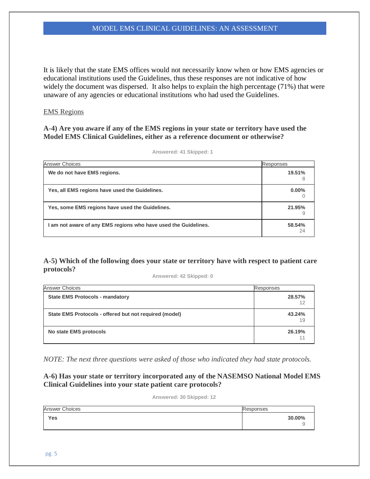It is likely that the state EMS offices would not necessarily know when or how EMS agencies or educational institutions used the Guidelines, thus these responses are not indicative of how widely the document was dispersed. It also helps to explain the high percentage (71%) that were unaware of any agencies or educational institutions who had used the Guidelines.

#### EMS Regions

# **A-4) Are you aware if any of the EMS regions in your state or territory have used the Model EMS Clinical Guidelines, either as a reference document or otherwise?**

| <b>Answer Choices</b>                                           | <b>Responses</b> |
|-----------------------------------------------------------------|------------------|
| We do not have EMS regions.                                     | 19.51%<br>8      |
| Yes, all EMS regions have used the Guidelines.                  | $0.00\%$         |
| Yes, some EMS regions have used the Guidelines.                 | 21.95%           |
| I am not aware of any EMS regions who have used the Guidelines. | 58.54%<br>24     |

**Answered: 41 Skipped: 1**

# **A-5) Which of the following does your state or territory have with respect to patient care protocols?**

**Answered: 42 Skipped: 0**

| <b>Answer Choices</b>                                  | Responses    |
|--------------------------------------------------------|--------------|
| <b>State EMS Protocols - mandatory</b>                 | 28.57%       |
| State EMS Protocols - offered but not required (model) | 43.24%<br>19 |
| No state EMS protocols                                 | 26.19%       |

*NOTE: The next three questions were asked of those who indicated they had state protocols.*

**A-6) Has your state or territory incorporated any of the NASEMSO National Model EMS Clinical Guidelines into your state patient care protocols?**

**Answered: 30 Skipped: 12**

| <b>Answer Choices</b> | Responses |
|-----------------------|-----------|
| Yes                   | 30.00%    |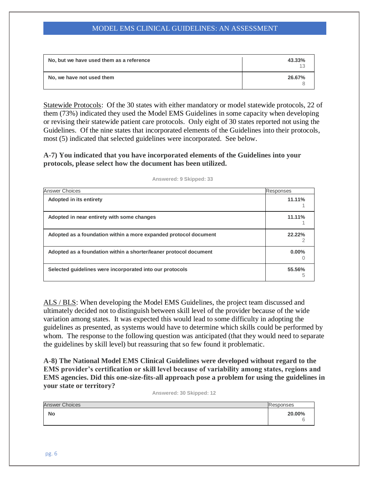| No, but we have used them as a reference | 43.33% |
|------------------------------------------|--------|
| No, we have not used them                | 26.67% |

Statewide Protocols: Of the 30 states with either mandatory or model statewide protocols, 22 of them (73%) indicated they used the Model EMS Guidelines in some capacity when developing or revising their statewide patient care protocols. Only eight of 30 states reported not using the Guidelines. Of the nine states that incorporated elements of the Guidelines into their protocols, most (5) indicated that selected guidelines were incorporated. See below.

**A-7) You indicated that you have incorporated elements of the Guidelines into your protocols, please select how the document has been utilized.**

| <b>Answer Choices</b>                                             | Responses |
|-------------------------------------------------------------------|-----------|
| Adopted in its entirety                                           | 11.11%    |
| Adopted in near entirety with some changes                        | 11.11%    |
| Adopted as a foundation within a more expanded protocol document  | 22.22%    |
| Adopted as a foundation within a shorter/leaner protocol document | $0.00\%$  |
| Selected quidelines were incorporated into our protocols          | 55.56%    |

**Answered: 9 Skipped: 33**

ALS / BLS: When developing the Model EMS Guidelines, the project team discussed and ultimately decided not to distinguish between skill level of the provider because of the wide variation among states. It was expected this would lead to some difficulty in adopting the guidelines as presented, as systems would have to determine which skills could be performed by whom. The response to the following question was anticipated (that they would need to separate the guidelines by skill level) but reassuring that so few found it problematic.

**A-8) The National Model EMS Clinical Guidelines were developed without regard to the EMS provider's certification or skill level because of variability among states, regions and EMS agencies. Did this one-size-fits-all approach pose a problem for using the guidelines in your state or territory?**

**Answered: 30 Skipped: 12**

| <b>Answer Choices</b> | Responses |
|-----------------------|-----------|
| <b>No</b>             | 20.00%    |
|                       |           |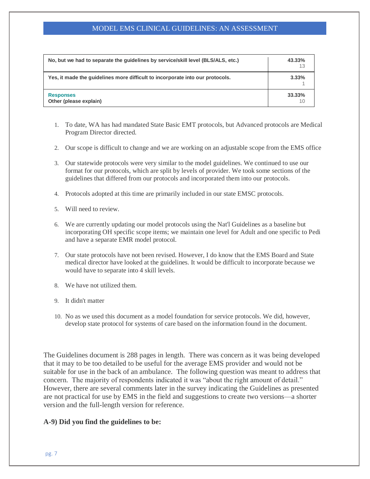| No, but we had to separate the quidelines by service/skill level (BLS/ALS, etc.) | 43.33%<br>13 |
|----------------------------------------------------------------------------------|--------------|
| Yes, it made the quidelines more difficult to incorporate into our protocols.    | 3.33%        |
| <b>Responses</b><br>Other (please explain)                                       | 33.33%       |

- 1. To date, WA has had mandated State Basic EMT protocols, but Advanced protocols are Medical Program Director directed.
- 2. Our scope is difficult to change and we are working on an adjustable scope from the EMS office
- 3. Our statewide protocols were very similar to the model guidelines. We continued to use our format for our protocols, which are split by levels of provider. We took some sections of the guidelines that differed from our protocols and incorporated them into our protocols.
- 4. Protocols adopted at this time are primarily included in our state EMSC protocols.
- 5. Will need to review.
- 6. We are currently updating our model protocols using the Nat'l Guidelines as a baseline but incorporating OH specific scope items; we maintain one level for Adult and one specific to Pedi and have a separate EMR model protocol.
- 7. Our state protocols have not been revised. However, I do know that the EMS Board and State medical director have looked at the guidelines. It would be difficult to incorporate because we would have to separate into 4 skill levels.
- 8. We have not utilized them.
- 9. It didn't matter
- 10. No as we used this document as a model foundation for service protocols. We did, however, develop state protocol for systems of care based on the information found in the document.

The Guidelines document is 288 pages in length. There was concern as it was being developed that it may to be too detailed to be useful for the average EMS provider and would not be suitable for use in the back of an ambulance. The following question was meant to address that concern. The majority of respondents indicated it was "about the right amount of detail." However, there are several comments later in the survey indicating the Guidelines as presented are not practical for use by EMS in the field and suggestions to create two versions—a shorter version and the full-length version for reference.

#### **A-9) Did you find the guidelines to be:**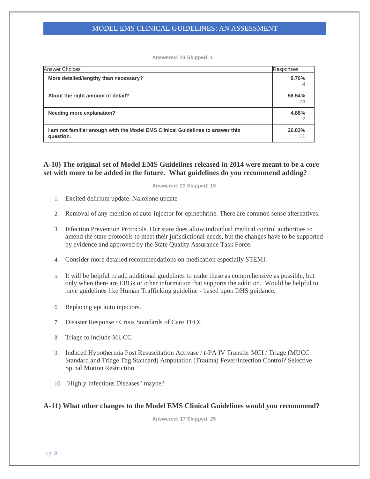**Answered: 41 Skipped: 1**

| <b>Answer Choices</b>                                                                       | Responses    |
|---------------------------------------------------------------------------------------------|--------------|
| More detailed/lengthy than necessary?                                                       | 9.76%        |
| About the right amount of detail?                                                           | 58.54%<br>24 |
| Needing more explanation?                                                                   | 4.88%        |
| I am not familiar enough with the Model EMS Clinical Guidelines to answer this<br>question. | 26.83%       |

# **A-10) The original set of Model EMS Guidelines released in 2014 were meant to be a core set with more to be added in the future. What guidelines do you recommend adding?**

**Answered: 23 Skipped: 19**

- 1. Excited delirium update. Naloxone update
- 2. Removal of any mention of auto-injector for epinephrine. There are common sense alternatives.
- 3. Infection Prevention Protocols. Our state does allow individual medical control authorities to amend the state protocols to meet their jurisdictional needs, but the changes have to be supported by evidence and approved by the State Quality Assurance Task Force.
- 4. Consider more detailed recommendations on medication especially STEMI.
- 5. It will be helpful to add additional guidelines to make these as comprehensive as possible, but only when there are EBGs or other information that supports the addition. Would be helpful to have guidelines like Human Trafficking guideline - based upon DHS guidance.
- 6. Replacing epi auto injectors.
- 7. Disaster Response / Crisis Standards of Care TECC
- 8. Triage to include MUCC
- 9. Induced Hypothermia Post Resuscitation Activase / t-PA IV Transfer MCI / Triage (MUCC Standard and Triage Tag Standard) Amputation (Trauma) Fever/Infection Control? Selective Spinal Motion Restriction
- 10. "Highly Infectious Diseases" maybe?

#### **A-11) What other changes to the Model EMS Clinical Guidelines would you recommend?**

**Answered: 17 Skipped: 25**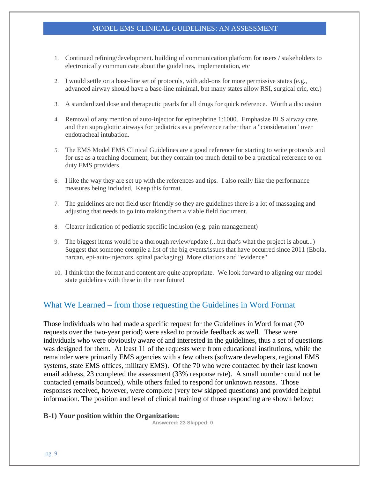- 1. Continued refining/development. building of communication platform for users / stakeholders to electronically communicate about the guidelines, implementation, etc
- 2. I would settle on a base-line set of protocols, with add-ons for more permissive states (e.g., advanced airway should have a base-line minimal, but many states allow RSI, surgical cric, etc.)
- 3. A standardized dose and therapeutic pearls for all drugs for quick reference. Worth a discussion
- 4. Removal of any mention of auto-injector for epinephrine 1:1000. Emphasize BLS airway care, and then supraglottic airways for pediatrics as a preference rather than a "consideration" over endotracheal intubation.
- 5. The EMS Model EMS Clinical Guidelines are a good reference for starting to write protocols and for use as a teaching document, but they contain too much detail to be a practical reference to on duty EMS providers.
- 6. I like the way they are set up with the references and tips. I also really like the performance measures being included. Keep this format.
- 7. The guidelines are not field user friendly so they are guidelines there is a lot of massaging and adjusting that needs to go into making them a viable field document.
- 8. Clearer indication of pediatric specific inclusion (e.g. pain management)
- 9. The biggest items would be a thorough review/update (...but that's what the project is about...) Suggest that someone compile a list of the big events/issues that have occurred since 2011 (Ebola, narcan, epi-auto-injectors, spinal packaging) More citations and "evidence"
- 10. I think that the format and content are quite appropriate. We look forward to aligning our model state guidelines with these in the near future!

# What We Learned – from those requesting the Guidelines in Word Format

Those individuals who had made a specific request for the Guidelines in Word format (70 requests over the two-year period) were asked to provide feedback as well. These were individuals who were obviously aware of and interested in the guidelines, thus a set of questions was designed for them. At least 11 of the requests were from educational institutions, while the remainder were primarily EMS agencies with a few others (software developers, regional EMS systems, state EMS offices, military EMS). Of the 70 who were contacted by their last known email address, 23 completed the assessment (33% response rate). A small number could not be contacted (emails bounced), while others failed to respond for unknown reasons. Those responses received, however, were complete (very few skipped questions) and provided helpful information. The position and level of clinical training of those responding are shown below:

#### **B-1) Your position within the Organization:**

**Answered: 23 Skipped: 0**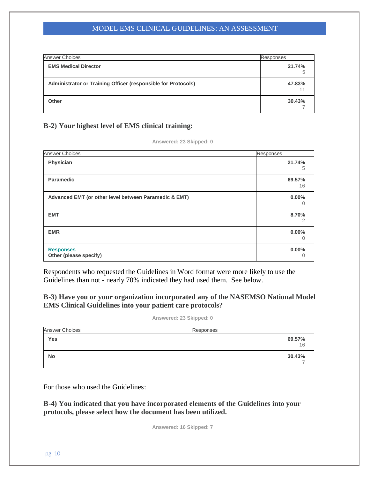| <b>Answer Choices</b>                                         | Responses |
|---------------------------------------------------------------|-----------|
| <b>EMS Medical Director</b>                                   | 21.74%    |
| Administrator or Training Officer (responsible for Protocols) | 47.83%    |
| Other                                                         | 30.43%    |

# **B-2) Your highest level of EMS clinical training:**

|  |  | Answered: 23 Skipped: 0 |  |  |
|--|--|-------------------------|--|--|
|  |  |                         |  |  |

| <b>Answer Choices</b>                                 | Responses     |
|-------------------------------------------------------|---------------|
| Physician                                             | 21.74%<br>5   |
| <b>Paramedic</b>                                      | 69.57%<br>16  |
| Advanced EMT (or other level between Paramedic & EMT) | $0.00\%$<br>U |
| <b>EMT</b>                                            | 8.70%<br>2    |
| <b>EMR</b>                                            | $0.00\%$<br>O |
| <b>Responses</b><br>Other (please specify)            | $0.00\%$      |

Respondents who requested the Guidelines in Word format were more likely to use the Guidelines than not - nearly 70% indicated they had used them. See below.

# **B-3) Have you or your organization incorporated any of the NASEMSO National Model EMS Clinical Guidelines into your patient care protocols?**

#### **Answered: 23 Skipped: 0**

| <b>Answer Choices</b> | Responses    |
|-----------------------|--------------|
| Yes                   | 69.57%<br>16 |
| <b>No</b>             | 30.43%       |

For those who used the Guidelines:

**B-4) You indicated that you have incorporated elements of the Guidelines into your protocols, please select how the document has been utilized.**

**Answered: 16 Skipped: 7**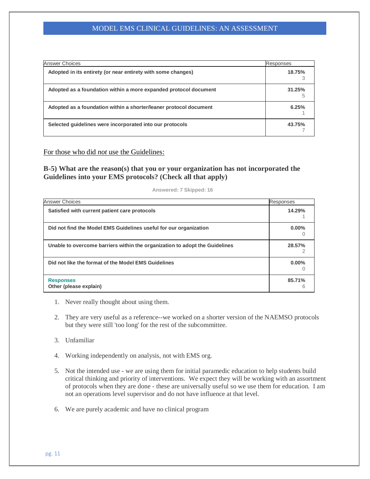| <b>Answer Choices</b>                                             | Responses |
|-------------------------------------------------------------------|-----------|
| Adopted in its entirety (or near entirety with some changes)      | 18.75%    |
| Adopted as a foundation within a more expanded protocol document  | 31.25%    |
| Adopted as a foundation within a shorter/leaner protocol document | 6.25%     |
| Selected quidelines were incorporated into our protocols          | 43.75%    |

For those who did *not* use the Guidelines:

**B-5) What are the reason(s) that you or your organization has not incorporated the Guidelines into your EMS protocols? (Check all that apply)**

| <b>Answer Choices</b>                                                       | Responses |
|-----------------------------------------------------------------------------|-----------|
| Satisfied with current patient care protocols                               | 14.29%    |
| Did not find the Model EMS Guidelines useful for our organization           | $0.00\%$  |
| Unable to overcome barriers within the organization to adopt the Guidelines | 28.57%    |
| Did not like the format of the Model EMS Guidelines                         | 0.00%     |
| <b>Responses</b><br>Other (please explain)                                  | 85.71%    |

**Answered: 7 Skipped: 16**

- 1. Never really thought about using them.
- 2. They are very useful as a reference--we worked on a shorter version of the NAEMSO protocols but they were still 'too long' for the rest of the subcommittee.
- 3. Unfamiliar
- 4. Working independently on analysis, not with EMS org.
- 5. Not the intended use we are using them for initial paramedic education to help students build critical thinking and priority of interventions. We expect they will be working with an assortment of protocols when they are done - these are universally useful so we use them for education. I am not an operations level supervisor and do not have influence at that level.
- 6. We are purely academic and have no clinical program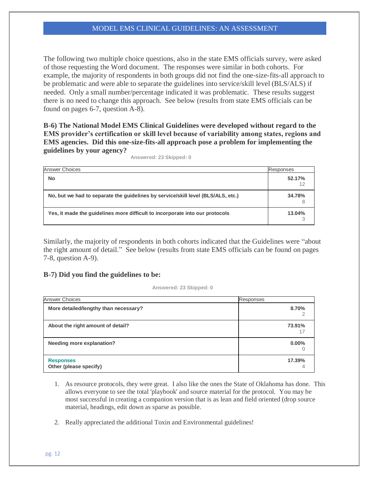The following two multiple choice questions, also in the state EMS officials survey, were asked of those requesting the Word document. The responses were similar in both cohorts. For example, the majority of respondents in both groups did not find the one-size-fits-all approach to be problematic and were able to separate the guidelines into service/skill level (BLS/ALS) if needed. Only a small number/percentage indicated it was problematic. These results suggest there is no need to change this approach. See below (results from state EMS officials can be found on pages 6-7, question A-8).

**B-6) The National Model EMS Clinical Guidelines were developed without regard to the EMS provider's certification or skill level because of variability among states, regions and EMS agencies. Did this one-size-fits-all approach pose a problem for implementing the guidelines by your agency?**

| <b>Answer Choices</b>                                                            | Responses |
|----------------------------------------------------------------------------------|-----------|
| <b>No</b>                                                                        | 52.17%    |
| No, but we had to separate the quidelines by service/skill level (BLS/ALS, etc.) | 34.78%    |
| Yes, it made the quidelines more difficult to incorporate into our protocols     | 13.04%    |

**Answered: 23 Skipped: 0**

Similarly, the majority of respondents in both cohorts indicated that the Guidelines were "about the right amount of detail." See below (results from state EMS officials can be found on pages 7-8, question A-9).

#### **B-7) Did you find the guidelines to be:**

**Answered: 23 Skipped: 0**

| <b>Answer Choices</b>                      | Responses |
|--------------------------------------------|-----------|
| More detailed/lengthy than necessary?      | 8.70%     |
| About the right amount of detail?          | 73.91%    |
| <b>Needing more explanation?</b>           | $0.00\%$  |
| <b>Responses</b><br>Other (please specify) | 17.39%    |

- 1. As resource protocols, they were great. I also like the ones the State of Oklahoma has done. This allows everyone to see the total 'playbook' and source material for the protocol. You may be most successful in creating a companion version that is as lean and field oriented (drop source material, headings, edit down as sparse as possible.
- 2. Really appreciated the additional Toxin and Environmental guidelines!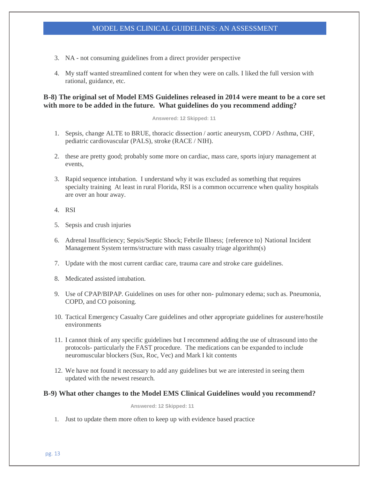- 3. NA not consuming guidelines from a direct provider perspective
- 4. My staff wanted streamlined content for when they were on calls. I liked the full version with rational, guidance, etc.

# **B-8) The original set of Model EMS Guidelines released in 2014 were meant to be a core set with more to be added in the future. What guidelines do you recommend adding?**

#### **Answered: 12 Skipped: 11**

- 1. Sepsis, change ALTE to BRUE, thoracic dissection / aortic aneurysm, COPD / Asthma, CHF, pediatric cardiovascular (PALS), stroke (RACE / NIH).
- 2. these are pretty good; probably some more on cardiac, mass care, sports injury management at events,
- 3. Rapid sequence intubation. I understand why it was excluded as something that requires specialty training At least in rural Florida, RSI is a common occurrence when quality hospitals are over an hour away.
- 4. RSI
- 5. Sepsis and crush injuries
- 6. Adrenal Insufficiency; Sepsis/Septic Shock; Febrile Illness; {reference to} National Incident Management System terms/structure with mass casualty triage algorithm(s)
- 7. Update with the most current cardiac care, trauma care and stroke care guidelines.
- 8. Medicated assisted intubation.
- 9. Use of CPAP/BIPAP. Guidelines on uses for other non- pulmonary edema; such as. Pneumonia, COPD, and CO poisoning.
- 10. Tactical Emergency Casualty Care guidelines and other appropriate guidelines for austere/hostile environments
- 11. I cannot think of any specific guidelines but I recommend adding the use of ultrasound into the protocols- particularly the FAST procedure. The medications can be expanded to include neuromuscular blockers (Sux, Roc, Vec) and Mark I kit contents
- 12. We have not found it necessary to add any guidelines but we are interested in seeing them updated with the newest research.

#### **B-9) What other changes to the Model EMS Clinical Guidelines would you recommend?**

**Answered: 12 Skipped: 11**

1. Just to update them more often to keep up with evidence based practice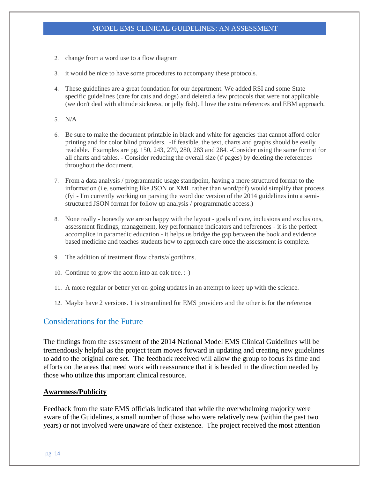- 2. change from a word use to a flow diagram
- 3. it would be nice to have some procedures to accompany these protocols.
- 4. These guidelines are a great foundation for our department. We added RSI and some State specific guidelines (care for cats and dogs) and deleted a few protocols that were not applicable (we don't deal with altitude sickness, or jelly fish). I love the extra references and EBM approach.
- 5. N/A
- 6. Be sure to make the document printable in black and white for agencies that cannot afford color printing and for color blind providers. -If feasible, the text, charts and graphs should be easily readable. Examples are pg. 150, 243, 279, 280, 283 and 284. -Consider using the same format for all charts and tables. - Consider reducing the overall size (# pages) by deleting the references throughout the document.
- 7. From a data analysis / programmatic usage standpoint, having a more structured format to the information (i.e. something like JSON or XML rather than word/pdf) would simplify that process. (fyi - I'm currently working on parsing the word doc version of the 2014 guidelines into a semistructured JSON format for follow up analysis / programmatic access.)
- 8. None really honestly we are so happy with the layout goals of care, inclusions and exclusions, assessment findings, management, key performance indicators and references - it is the perfect accomplice in paramedic education - it helps us bridge the gap between the book and evidence based medicine and teaches students how to approach care once the assessment is complete.
- 9. The addition of treatment flow charts/algorithms.
- 10. Continue to grow the acorn into an oak tree. :-)
- 11. A more regular or better yet on-going updates in an attempt to keep up with the science.
- 12. Maybe have 2 versions. 1 is streamlined for EMS providers and the other is for the reference

# Considerations for the Future

The findings from the assessment of the 2014 National Model EMS Clinical Guidelines will be tremendously helpful as the project team moves forward in updating and creating new guidelines to add to the original core set. The feedback received will allow the group to focus its time and efforts on the areas that need work with reassurance that it is headed in the direction needed by those who utilize this important clinical resource.

#### **Awareness/Publicity**

Feedback from the state EMS officials indicated that while the overwhelming majority were aware of the Guidelines, a small number of those who were relatively new (within the past two years) or not involved were unaware of their existence. The project received the most attention